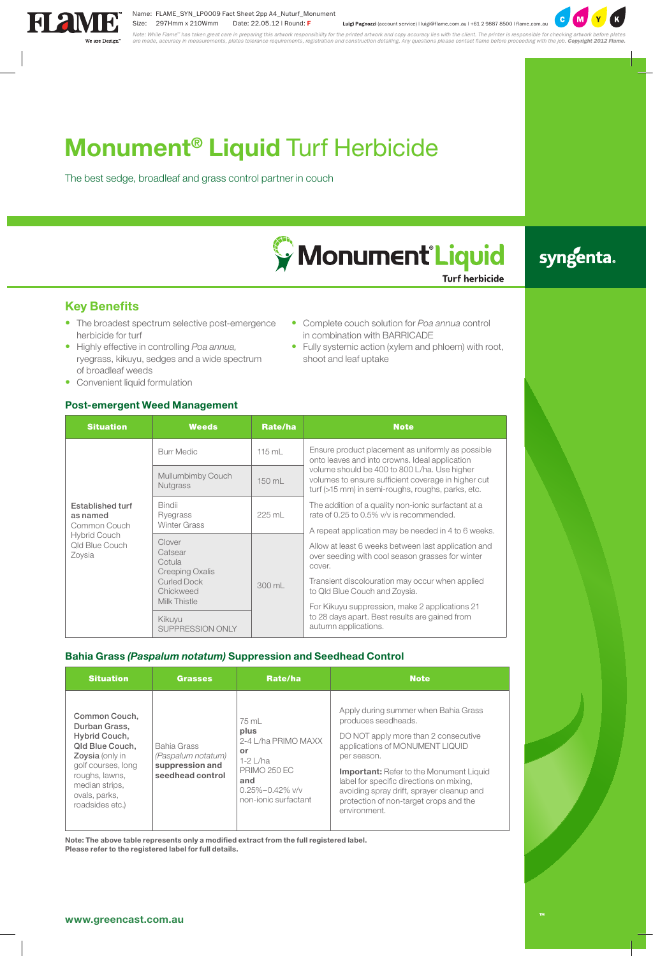# **Monument® Liquid** Turf Herbicide

The best sedge, broadleaf and grass control partner in couch



## syngenta.

**Key Benefits**

- The broadest spectrum selective post-emergence herbicide for turf
- • Highly effective in controlling *Poa annua,* ryegrass, kikuyu, sedges and a wide spectrum of broadleaf weeds
- Convenient liquid formulation

#### **Post-emergent Weed Management**

| • Complete couch solution for Poa annua control |  |  |  |  |  |  |
|-------------------------------------------------|--|--|--|--|--|--|
| in combination with BARRICADE                   |  |  |  |  |  |  |
|                                                 |  |  |  |  |  |  |

• Fully systemic action (xylem and phloem) with root, shoot and leaf uptake

| T OSE-CHICLYCHI WCCU MUHUYCHICHI                |                                                                                                          |                  |                                                                                                                                                                                                                                                                                                                |  |  |  |  |
|-------------------------------------------------|----------------------------------------------------------------------------------------------------------|------------------|----------------------------------------------------------------------------------------------------------------------------------------------------------------------------------------------------------------------------------------------------------------------------------------------------------------|--|--|--|--|
| <b>Situation</b>                                | <b>Weeds</b>                                                                                             | Rate/ha          | <b>Note</b>                                                                                                                                                                                                                                                                                                    |  |  |  |  |
|                                                 | <b>Burr Medic</b>                                                                                        | $115 \text{ mL}$ | Ensure product placement as uniformly as possible<br>onto leaves and into crowns. Ideal application                                                                                                                                                                                                            |  |  |  |  |
|                                                 | Mullumbimby Couch<br>Nutgrass                                                                            | 150 mL           | volume should be 400 to 800 L/ha. Use higher<br>volumes to ensure sufficient coverage in higher cut<br>turf (>15 mm) in semi-roughs, roughs, parks, etc.                                                                                                                                                       |  |  |  |  |
| Established turf<br>as named<br>Common Couch    | <b>Bindii</b><br>Ryegrass<br><b>Winter Grass</b>                                                         | 225 mL           | The addition of a quality non-ionic surfactant at a<br>rate of 0.25 to 0.5% v/v is recommended.                                                                                                                                                                                                                |  |  |  |  |
| <b>Hybrid Couch</b><br>Qld Blue Couch<br>Zoysia | Clover<br>Catsear<br>Cotula<br>Creeping Oxalis<br><b>Curled Dock</b><br>Chickweed<br><b>Milk Thistle</b> | 300 mL           | A repeat application may be needed in 4 to 6 weeks.<br>Allow at least 6 weeks between last application and<br>over seeding with cool season grasses for winter<br>cover.<br>Transient discolouration may occur when applied<br>to Qld Blue Couch and Zoysia.<br>For Kikuyu suppression, make 2 applications 21 |  |  |  |  |
|                                                 | Kikuyu<br>SUPPRESSION ONLY                                                                               |                  | to 28 days apart. Best results are gained from<br>autumn applications.                                                                                                                                                                                                                                         |  |  |  |  |

#### **Bahia Grass** *(Paspalum notatum)* **Suppression and Seedhead Control**

| <b>Situation</b>                                                                                                                                                                    | <b>Grasses</b>                                                           | Rate/ha                                                                                                                                  | <b>Note</b>                                                                                                                                                                                                                                                                                                                                                |
|-------------------------------------------------------------------------------------------------------------------------------------------------------------------------------------|--------------------------------------------------------------------------|------------------------------------------------------------------------------------------------------------------------------------------|------------------------------------------------------------------------------------------------------------------------------------------------------------------------------------------------------------------------------------------------------------------------------------------------------------------------------------------------------------|
| Common Couch.<br>Durban Grass.<br>Hybrid Couch,<br>Qld Blue Couch,<br>Zoysia (only in<br>golf courses, long<br>roughs, lawns,<br>median strips,<br>ovals, parks,<br>roadsides etc.) | Bahia Grass<br>(Paspalum notatum)<br>suppression and<br>seedhead control | 75 mL<br>plus<br>2-4 L/ha PRIMO MAXX<br>or<br>$1-2$   /ha<br><b>PRIMO 250 EC</b><br>and<br>$0.25\% - 0.42\%$ v/v<br>non-ionic surfactant | Apply during summer when Bahia Grass<br>produces seedheads.<br>DO NOT apply more than 2 consecutive<br>applications of MONUMENT LIQUID<br>per season.<br><b>Important:</b> Refer to the Monument Liquid<br>label for specific directions on mixing,<br>avoiding spray drift, sprayer cleanup and<br>protection of non-target crops and the<br>environment. |

**Note: The above table represents only a modified extract from the full registered label.**